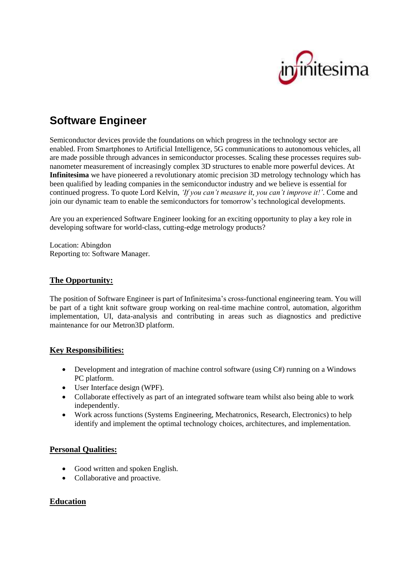

# **Software Engineer**

Semiconductor devices provide the foundations on which progress in the technology sector are enabled. From Smartphones to Artificial Intelligence, 5G communications to autonomous vehicles, all are made possible through advances in semiconductor processes. Scaling these processes requires subnanometer measurement of increasingly complex 3D structures to enable more powerful devices. At **Infinitesima** we have pioneered a revolutionary atomic precision 3D metrology technology which has been qualified by leading companies in the semiconductor industry and we believe is essential for continued progress. To quote Lord Kelvin, *'If you can't measure it, you can't improve it!'*. Come and join our dynamic team to enable the semiconductors for tomorrow's technological developments.

Are you an experienced Software Engineer looking for an exciting opportunity to play a key role in developing software for world-class, cutting-edge metrology products?

Location: Abingdon Reporting to: Software Manager.

# **The Opportunity:**

The position of Software Engineer is part of Infinitesima's cross-functional engineering team. You will be part of a tight knit software group working on real-time machine control, automation, algorithm implementation, UI, data-analysis and contributing in areas such as diagnostics and predictive maintenance for our Metron3D platform.

# **Key Responsibilities:**

- Development and integration of machine control software (using  $C#$ ) running on a Windows PC platform.
- User Interface design (WPF).
- Collaborate effectively as part of an integrated software team whilst also being able to work independently.
- Work across functions (Systems Engineering, Mechatronics, Research, Electronics) to help identify and implement the optimal technology choices, architectures, and implementation.

## **Personal Qualities:**

- Good written and spoken English.
- Collaborative and proactive.

## **Education**